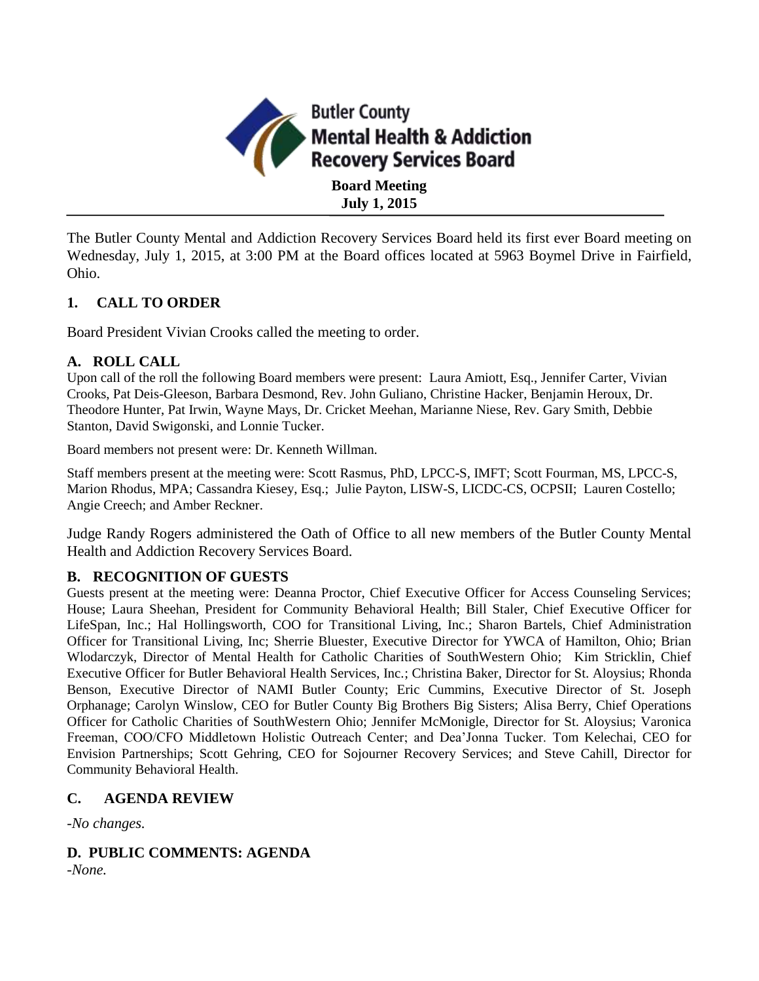

The Butler County Mental and Addiction Recovery Services Board held its first ever Board meeting on Wednesday, July 1, 2015, at 3:00 PM at the Board offices located at 5963 Boymel Drive in Fairfield, Ohio.

## **1. CALL TO ORDER**

Board President Vivian Crooks called the meeting to order.

### **A. ROLL CALL**

Upon call of the roll the following Board members were present: Laura Amiott, Esq., Jennifer Carter, Vivian Crooks, Pat Deis-Gleeson, Barbara Desmond, Rev. John Guliano, Christine Hacker, Benjamin Heroux, Dr. Theodore Hunter, Pat Irwin, Wayne Mays, Dr. Cricket Meehan, Marianne Niese, Rev. Gary Smith, Debbie Stanton, David Swigonski, and Lonnie Tucker.

Board members not present were: Dr. Kenneth Willman.

Staff members present at the meeting were: Scott Rasmus, PhD, LPCC-S, IMFT; Scott Fourman, MS, LPCC-S, Marion Rhodus, MPA; Cassandra Kiesey, Esq.; Julie Payton, LISW-S, LICDC-CS, OCPSII; Lauren Costello; Angie Creech; and Amber Reckner.

Judge Randy Rogers administered the Oath of Office to all new members of the Butler County Mental Health and Addiction Recovery Services Board.

### **B. RECOGNITION OF GUESTS**

Guests present at the meeting were: Deanna Proctor, Chief Executive Officer for Access Counseling Services; House; Laura Sheehan, President for Community Behavioral Health; Bill Staler, Chief Executive Officer for LifeSpan, Inc.; Hal Hollingsworth, COO for Transitional Living, Inc.; Sharon Bartels, Chief Administration Officer for Transitional Living, Inc; Sherrie Bluester, Executive Director for YWCA of Hamilton, Ohio; Brian Wlodarczyk, Director of Mental Health for Catholic Charities of SouthWestern Ohio; Kim Stricklin, Chief Executive Officer for Butler Behavioral Health Services, Inc.; Christina Baker, Director for St. Aloysius; Rhonda Benson, Executive Director of NAMI Butler County; Eric Cummins, Executive Director of St. Joseph Orphanage; Carolyn Winslow, CEO for Butler County Big Brothers Big Sisters; Alisa Berry, Chief Operations Officer for Catholic Charities of SouthWestern Ohio; Jennifer McMonigle, Director for St. Aloysius; Varonica Freeman, COO/CFO Middletown Holistic Outreach Center; and Dea'Jonna Tucker. Tom Kelechai, CEO for Envision Partnerships; Scott Gehring, CEO for Sojourner Recovery Services; and Steve Cahill, Director for Community Behavioral Health.

### **C. AGENDA REVIEW**

*-No changes.*

# **D. PUBLIC COMMENTS: AGENDA**

*-None.*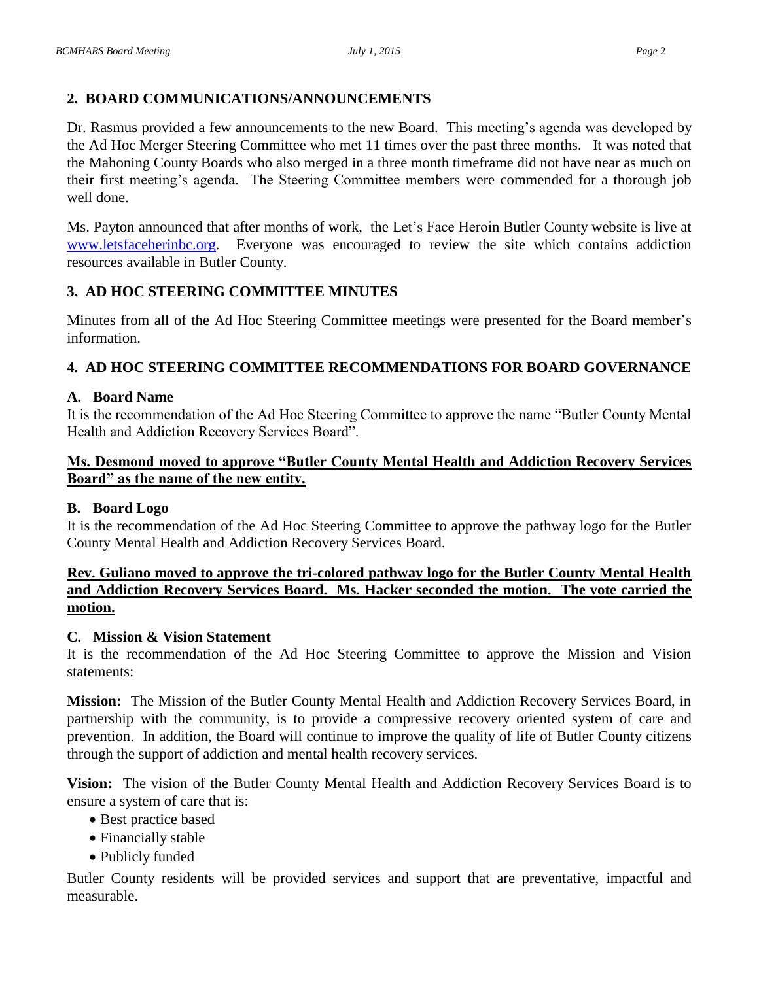## **2. BOARD COMMUNICATIONS/ANNOUNCEMENTS**

Dr. Rasmus provided a few announcements to the new Board. This meeting's agenda was developed by the Ad Hoc Merger Steering Committee who met 11 times over the past three months. It was noted that the Mahoning County Boards who also merged in a three month timeframe did not have near as much on their first meeting's agenda. The Steering Committee members were commended for a thorough job well done.

Ms. Payton announced that after months of work, the Let's Face Heroin Butler County website is live at [www.letsfaceherinbc.org.](http://www.letsfaceherinbc.org/) Everyone was encouraged to review the site which contains addiction resources available in Butler County.

## **3. AD HOC STEERING COMMITTEE MINUTES**

Minutes from all of the Ad Hoc Steering Committee meetings were presented for the Board member's information.

# **4. AD HOC STEERING COMMITTEE RECOMMENDATIONS FOR BOARD GOVERNANCE**

### **A. Board Name**

It is the recommendation of the Ad Hoc Steering Committee to approve the name "Butler County Mental Health and Addiction Recovery Services Board".

### **Ms. Desmond moved to approve "Butler County Mental Health and Addiction Recovery Services Board" as the name of the new entity.**

#### **B. Board Logo**

It is the recommendation of the Ad Hoc Steering Committee to approve the pathway logo for the Butler County Mental Health and Addiction Recovery Services Board.

### **Rev. Guliano moved to approve the tri-colored pathway logo for the Butler County Mental Health and Addiction Recovery Services Board. Ms. Hacker seconded the motion. The vote carried the motion.**

### **C. Mission & Vision Statement**

It is the recommendation of the Ad Hoc Steering Committee to approve the Mission and Vision statements:

**Mission:** The Mission of the Butler County Mental Health and Addiction Recovery Services Board, in partnership with the community, is to provide a compressive recovery oriented system of care and prevention. In addition, the Board will continue to improve the quality of life of Butler County citizens through the support of addiction and mental health recovery services.

**Vision:** The vision of the Butler County Mental Health and Addiction Recovery Services Board is to ensure a system of care that is:

- Best practice based
- Financially stable
- Publicly funded

Butler County residents will be provided services and support that are preventative, impactful and measurable.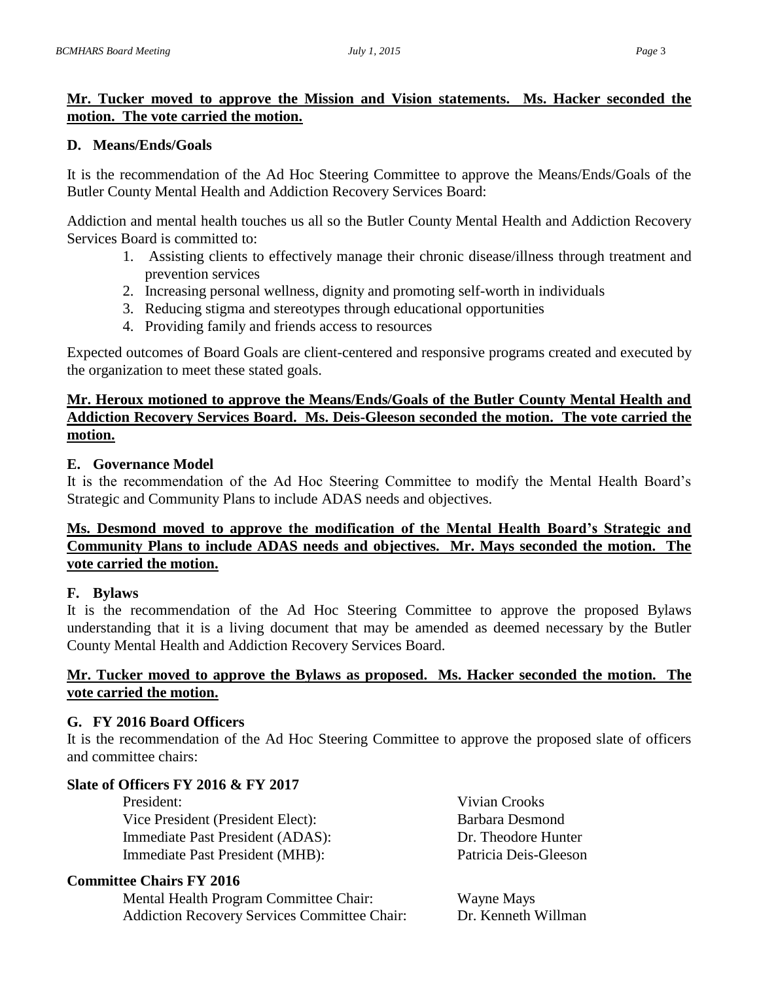## **Mr. Tucker moved to approve the Mission and Vision statements. Ms. Hacker seconded the motion. The vote carried the motion.**

### **D. Means/Ends/Goals**

It is the recommendation of the Ad Hoc Steering Committee to approve the Means/Ends/Goals of the Butler County Mental Health and Addiction Recovery Services Board:

Addiction and mental health touches us all so the Butler County Mental Health and Addiction Recovery Services Board is committed to:

- 1. Assisting clients to effectively manage their chronic disease/illness through treatment and prevention services
- 2. Increasing personal wellness, dignity and promoting self-worth in individuals
- 3. Reducing stigma and stereotypes through educational opportunities
- 4. Providing family and friends access to resources

Expected outcomes of Board Goals are client-centered and responsive programs created and executed by the organization to meet these stated goals.

# **Mr. Heroux motioned to approve the Means/Ends/Goals of the Butler County Mental Health and Addiction Recovery Services Board. Ms. Deis-Gleeson seconded the motion. The vote carried the motion.**

## **E. Governance Model**

It is the recommendation of the Ad Hoc Steering Committee to modify the Mental Health Board's Strategic and Community Plans to include ADAS needs and objectives.

### **Ms. Desmond moved to approve the modification of the Mental Health Board's Strategic and Community Plans to include ADAS needs and objectives. Mr. Mays seconded the motion. The vote carried the motion.**

### **F. Bylaws**

It is the recommendation of the Ad Hoc Steering Committee to approve the proposed Bylaws understanding that it is a living document that may be amended as deemed necessary by the Butler County Mental Health and Addiction Recovery Services Board.

## **Mr. Tucker moved to approve the Bylaws as proposed. Ms. Hacker seconded the motion. The vote carried the motion.**

### **G. FY 2016 Board Officers**

It is the recommendation of the Ad Hoc Steering Committee to approve the proposed slate of officers and committee chairs:

# **Slate of Officers FY 2016 & FY 2017**

President: Vivian Crooks Vice President (President Elect): Barbara Desmond Immediate Past President (ADAS): Dr. Theodore Hunter Immediate Past President (MHB): Patricia Deis-Gleeson

# **Committee Chairs FY 2016**

Mental Health Program Committee Chair: Wayne Mays Addiction Recovery Services Committee Chair: Dr. Kenneth Willman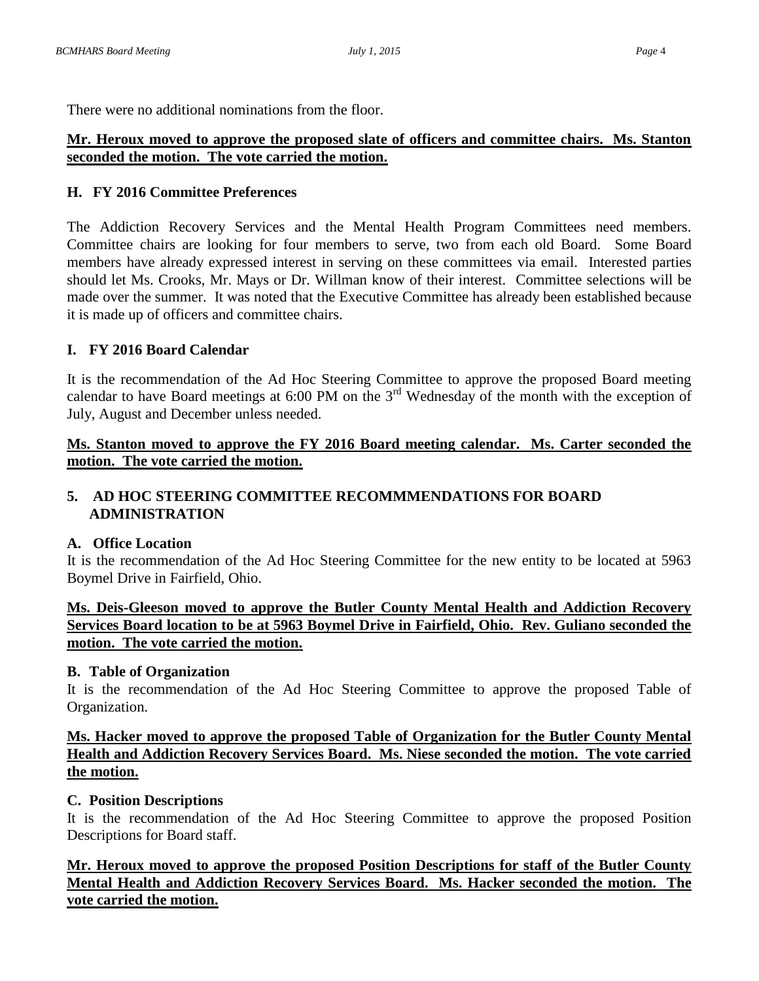There were no additional nominations from the floor.

### **Mr. Heroux moved to approve the proposed slate of officers and committee chairs. Ms. Stanton seconded the motion. The vote carried the motion.**

### **H. FY 2016 Committee Preferences**

The Addiction Recovery Services and the Mental Health Program Committees need members. Committee chairs are looking for four members to serve, two from each old Board. Some Board members have already expressed interest in serving on these committees via email. Interested parties should let Ms. Crooks, Mr. Mays or Dr. Willman know of their interest. Committee selections will be made over the summer. It was noted that the Executive Committee has already been established because it is made up of officers and committee chairs.

## **I. FY 2016 Board Calendar**

It is the recommendation of the Ad Hoc Steering Committee to approve the proposed Board meeting calendar to have Board meetings at 6:00 PM on the 3rd Wednesday of the month with the exception of July, August and December unless needed.

### **Ms. Stanton moved to approve the FY 2016 Board meeting calendar. Ms. Carter seconded the motion. The vote carried the motion.**

### **5. AD HOC STEERING COMMITTEE RECOMMMENDATIONS FOR BOARD ADMINISTRATION**

### **A. Office Location**

It is the recommendation of the Ad Hoc Steering Committee for the new entity to be located at 5963 Boymel Drive in Fairfield, Ohio.

### **Ms. Deis-Gleeson moved to approve the Butler County Mental Health and Addiction Recovery Services Board location to be at 5963 Boymel Drive in Fairfield, Ohio. Rev. Guliano seconded the motion. The vote carried the motion.**

### **B. Table of Organization**

It is the recommendation of the Ad Hoc Steering Committee to approve the proposed Table of Organization.

## **Ms. Hacker moved to approve the proposed Table of Organization for the Butler County Mental Health and Addiction Recovery Services Board. Ms. Niese seconded the motion. The vote carried the motion.**

### **C. Position Descriptions**

It is the recommendation of the Ad Hoc Steering Committee to approve the proposed Position Descriptions for Board staff.

**Mr. Heroux moved to approve the proposed Position Descriptions for staff of the Butler County Mental Health and Addiction Recovery Services Board. Ms. Hacker seconded the motion. The vote carried the motion.**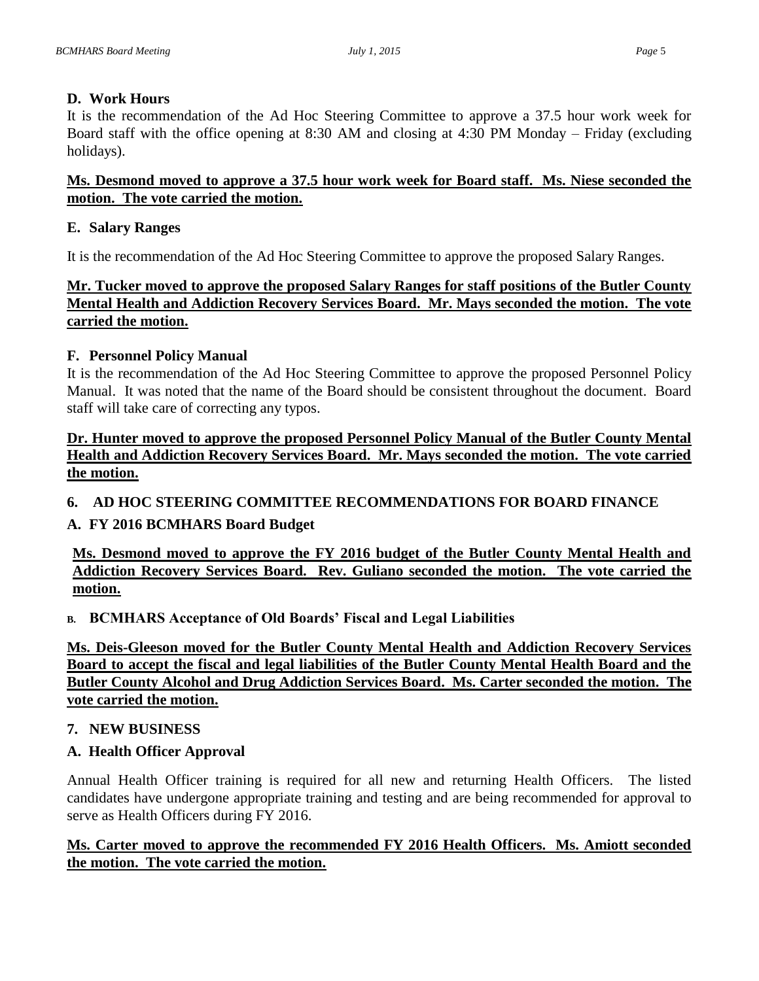## **D. Work Hours**

It is the recommendation of the Ad Hoc Steering Committee to approve a 37.5 hour work week for Board staff with the office opening at 8:30 AM and closing at 4:30 PM Monday – Friday (excluding holidays).

### **Ms. Desmond moved to approve a 37.5 hour work week for Board staff. Ms. Niese seconded the motion. The vote carried the motion.**

## **E. Salary Ranges**

It is the recommendation of the Ad Hoc Steering Committee to approve the proposed Salary Ranges.

# **Mr. Tucker moved to approve the proposed Salary Ranges for staff positions of the Butler County Mental Health and Addiction Recovery Services Board. Mr. Mays seconded the motion. The vote carried the motion.**

## **F. Personnel Policy Manual**

It is the recommendation of the Ad Hoc Steering Committee to approve the proposed Personnel Policy Manual. It was noted that the name of the Board should be consistent throughout the document. Board staff will take care of correcting any typos.

## **Dr. Hunter moved to approve the proposed Personnel Policy Manual of the Butler County Mental Health and Addiction Recovery Services Board. Mr. Mays seconded the motion. The vote carried the motion.**

# **6. AD HOC STEERING COMMITTEE RECOMMENDATIONS FOR BOARD FINANCE**

# **A. FY 2016 BCMHARS Board Budget**

**Ms. Desmond moved to approve the FY 2016 budget of the Butler County Mental Health and Addiction Recovery Services Board. Rev. Guliano seconded the motion. The vote carried the motion.**

# **B. BCMHARS Acceptance of Old Boards' Fiscal and Legal Liabilities**

**Ms. Deis-Gleeson moved for the Butler County Mental Health and Addiction Recovery Services Board to accept the fiscal and legal liabilities of the Butler County Mental Health Board and the Butler County Alcohol and Drug Addiction Services Board. Ms. Carter seconded the motion. The vote carried the motion.**

### **7. NEW BUSINESS**

# **A. Health Officer Approval**

Annual Health Officer training is required for all new and returning Health Officers. The listed candidates have undergone appropriate training and testing and are being recommended for approval to serve as Health Officers during FY 2016.

## **Ms. Carter moved to approve the recommended FY 2016 Health Officers. Ms. Amiott seconded the motion. The vote carried the motion.**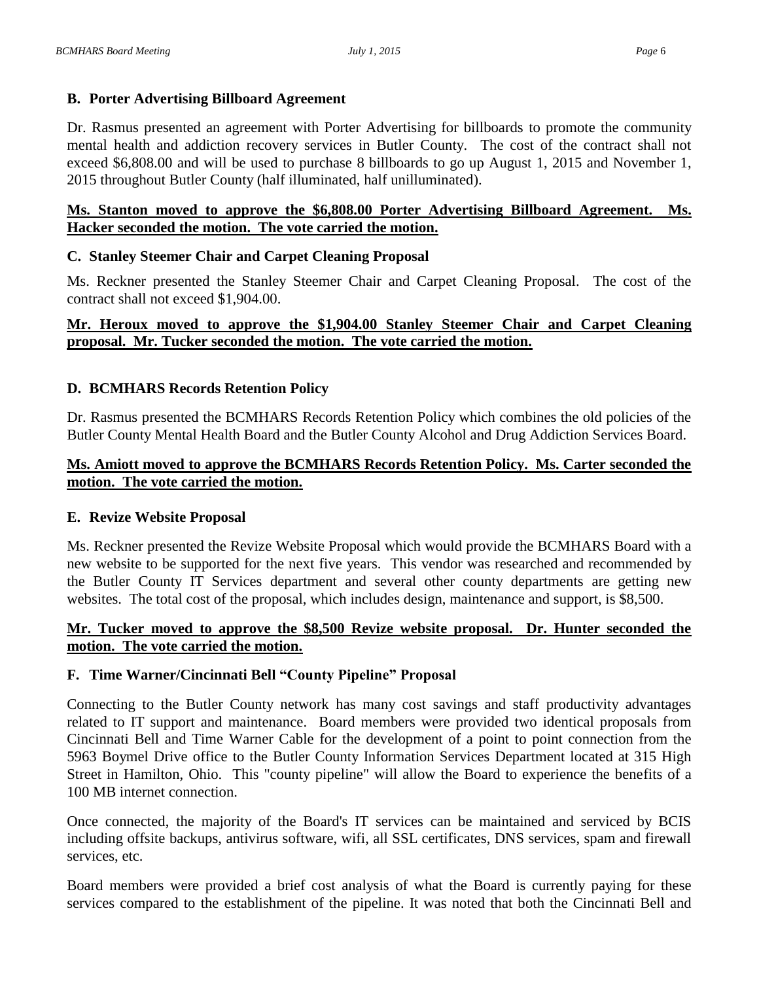### **B. Porter Advertising Billboard Agreement**

Dr. Rasmus presented an agreement with Porter Advertising for billboards to promote the community mental health and addiction recovery services in Butler County. The cost of the contract shall not exceed \$6,808.00 and will be used to purchase 8 billboards to go up August 1, 2015 and November 1, 2015 throughout Butler County (half illuminated, half unilluminated).

### **Ms. Stanton moved to approve the \$6,808.00 Porter Advertising Billboard Agreement. Ms. Hacker seconded the motion. The vote carried the motion.**

## **C. Stanley Steemer Chair and Carpet Cleaning Proposal**

Ms. Reckner presented the Stanley Steemer Chair and Carpet Cleaning Proposal. The cost of the contract shall not exceed \$1,904.00.

### **Mr. Heroux moved to approve the \$1,904.00 Stanley Steemer Chair and Carpet Cleaning proposal. Mr. Tucker seconded the motion. The vote carried the motion.**

# **D. BCMHARS Records Retention Policy**

Dr. Rasmus presented the BCMHARS Records Retention Policy which combines the old policies of the Butler County Mental Health Board and the Butler County Alcohol and Drug Addiction Services Board.

### **Ms. Amiott moved to approve the BCMHARS Records Retention Policy. Ms. Carter seconded the motion. The vote carried the motion.**

### **E. Revize Website Proposal**

Ms. Reckner presented the Revize Website Proposal which would provide the BCMHARS Board with a new website to be supported for the next five years. This vendor was researched and recommended by the Butler County IT Services department and several other county departments are getting new websites. The total cost of the proposal, which includes design, maintenance and support, is \$8,500.

### **Mr. Tucker moved to approve the \$8,500 Revize website proposal. Dr. Hunter seconded the motion. The vote carried the motion.**

### **F. Time Warner/Cincinnati Bell "County Pipeline" Proposal**

Connecting to the Butler County network has many cost savings and staff productivity advantages related to IT support and maintenance. Board members were provided two identical proposals from Cincinnati Bell and Time Warner Cable for the development of a point to point connection from the 5963 Boymel Drive office to the Butler County Information Services Department located at 315 High Street in Hamilton, Ohio. This "county pipeline" will allow the Board to experience the benefits of a 100 MB internet connection.

Once connected, the majority of the Board's IT services can be maintained and serviced by BCIS including offsite backups, antivirus software, wifi, all SSL certificates, DNS services, spam and firewall services, etc.

Board members were provided a brief cost analysis of what the Board is currently paying for these services compared to the establishment of the pipeline. It was noted that both the Cincinnati Bell and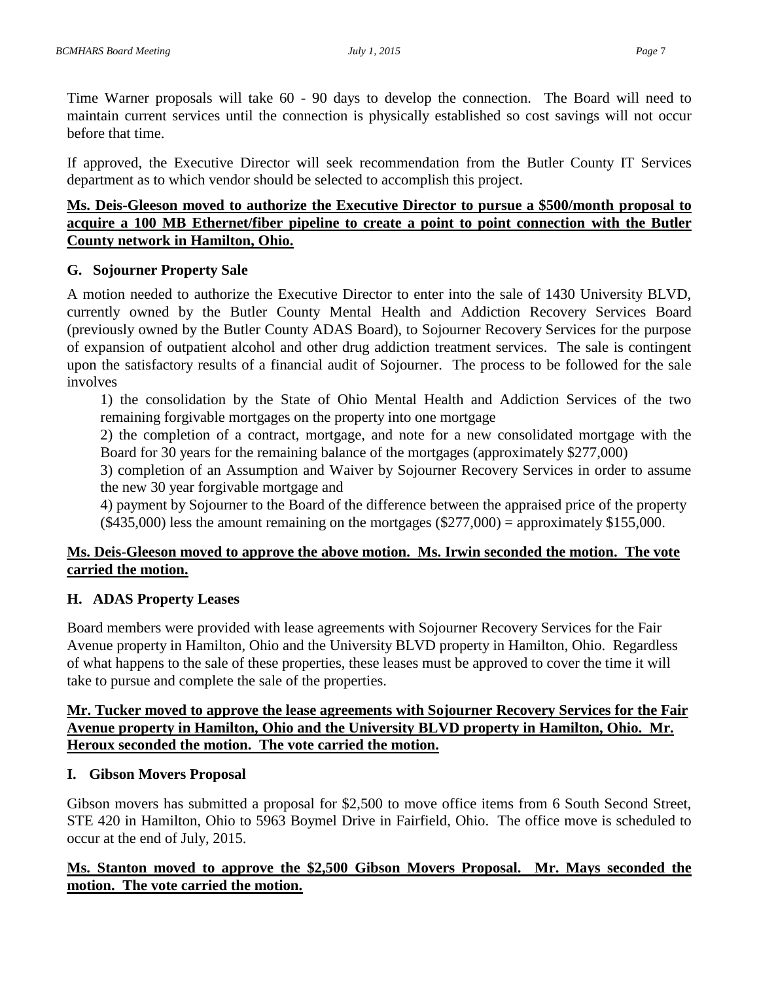Time Warner proposals will take 60 - 90 days to develop the connection. The Board will need to maintain current services until the connection is physically established so cost savings will not occur before that time.

If approved, the Executive Director will seek recommendation from the Butler County IT Services department as to which vendor should be selected to accomplish this project.

### **Ms. Deis-Gleeson moved to authorize the Executive Director to pursue a \$500/month proposal to acquire a 100 MB Ethernet/fiber pipeline to create a point to point connection with the Butler County network in Hamilton, Ohio.**

### **G. Sojourner Property Sale**

A motion needed to authorize the Executive Director to enter into the sale of 1430 University BLVD, currently owned by the Butler County Mental Health and Addiction Recovery Services Board (previously owned by the Butler County ADAS Board), to Sojourner Recovery Services for the purpose of expansion of outpatient alcohol and other drug addiction treatment services. The sale is contingent upon the satisfactory results of a financial audit of Sojourner. The process to be followed for the sale involves

1) the consolidation by the State of Ohio Mental Health and Addiction Services of the two remaining forgivable mortgages on the property into one mortgage

2) the completion of a contract, mortgage, and note for a new consolidated mortgage with the Board for 30 years for the remaining balance of the mortgages (approximately \$277,000)

3) completion of an Assumption and Waiver by Sojourner Recovery Services in order to assume the new 30 year forgivable mortgage and

4) payment by Sojourner to the Board of the difference between the appraised price of the property  $(\$435,000)$  less the amount remaining on the mortgages  $(\$277,000) =$  approximately  $\$155,000$ .

### **Ms. Deis-Gleeson moved to approve the above motion. Ms. Irwin seconded the motion. The vote carried the motion.**

### **H. ADAS Property Leases**

Board members were provided with lease agreements with Sojourner Recovery Services for the Fair Avenue property in Hamilton, Ohio and the University BLVD property in Hamilton, Ohio. Regardless of what happens to the sale of these properties, these leases must be approved to cover the time it will take to pursue and complete the sale of the properties.

#### **Mr. Tucker moved to approve the lease agreements with Sojourner Recovery Services for the Fair Avenue property in Hamilton, Ohio and the University BLVD property in Hamilton, Ohio. Mr. Heroux seconded the motion. The vote carried the motion.**

### **I. Gibson Movers Proposal**

Gibson movers has submitted a proposal for \$2,500 to move office items from 6 South Second Street, STE 420 in Hamilton, Ohio to 5963 Boymel Drive in Fairfield, Ohio. The office move is scheduled to occur at the end of July, 2015.

## **Ms. Stanton moved to approve the \$2,500 Gibson Movers Proposal. Mr. Mays seconded the motion. The vote carried the motion.**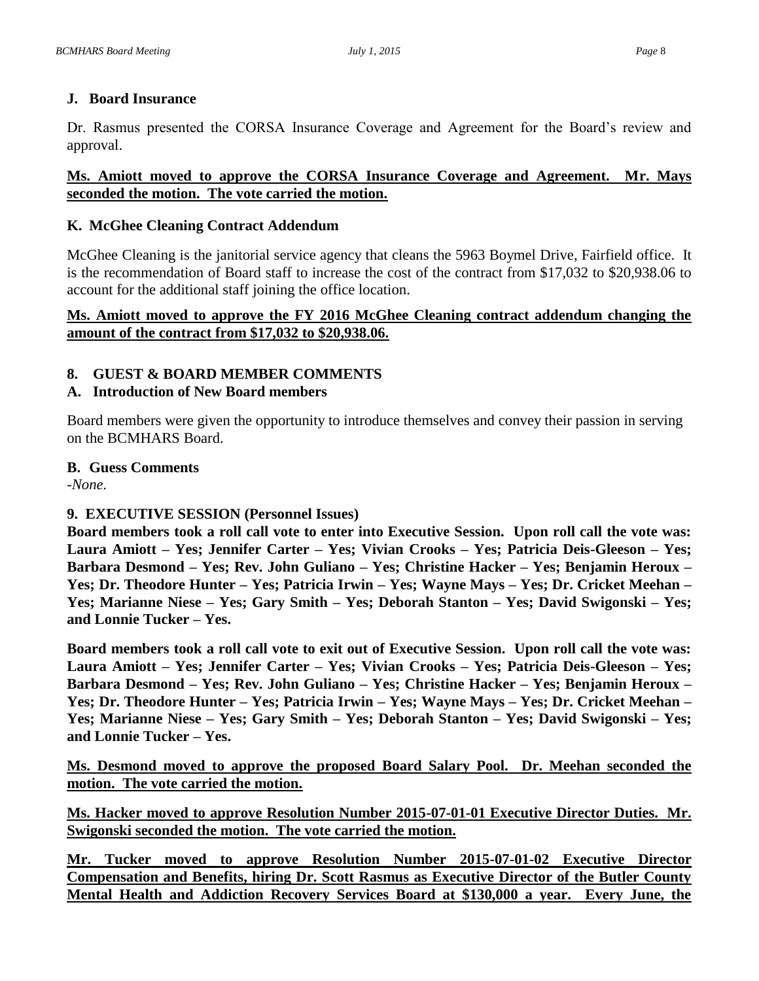### **J. Board Insurance**

Dr. Rasmus presented the CORSA Insurance Coverage and Agreement for the Board's review and approval.

### **Ms. Amiott moved to approve the CORSA Insurance Coverage and Agreement. Mr. Mays seconded the motion. The vote carried the motion.**

### **K. McGhee Cleaning Contract Addendum**

McGhee Cleaning is the janitorial service agency that cleans the 5963 Boymel Drive, Fairfield office. It is the recommendation of Board staff to increase the cost of the contract from \$17,032 to \$20,938.06 to account for the additional staff joining the office location.

### **Ms. Amiott moved to approve the FY 2016 McGhee Cleaning contract addendum changing the amount of the contract from \$17,032 to \$20,938.06.**

# **8. GUEST & BOARD MEMBER COMMENTS**

## **A. Introduction of New Board members**

Board members were given the opportunity to introduce themselves and convey their passion in serving on the BCMHARS Board.

#### **B. Guess Comments**

*-None.*

# **9. EXECUTIVE SESSION (Personnel Issues)**

**Board members took a roll call vote to enter into Executive Session. Upon roll call the vote was: Laura Amiott – Yes; Jennifer Carter – Yes; Vivian Crooks – Yes; Patricia Deis-Gleeson – Yes; Barbara Desmond – Yes; Rev. John Guliano – Yes; Christine Hacker – Yes; Benjamin Heroux – Yes; Dr. Theodore Hunter – Yes; Patricia Irwin – Yes; Wayne Mays – Yes; Dr. Cricket Meehan – Yes; Marianne Niese – Yes; Gary Smith – Yes; Deborah Stanton – Yes; David Swigonski – Yes; and Lonnie Tucker – Yes.**

**Board members took a roll call vote to exit out of Executive Session. Upon roll call the vote was: Laura Amiott – Yes; Jennifer Carter – Yes; Vivian Crooks – Yes; Patricia Deis-Gleeson – Yes; Barbara Desmond – Yes; Rev. John Guliano – Yes; Christine Hacker – Yes; Benjamin Heroux – Yes; Dr. Theodore Hunter – Yes; Patricia Irwin – Yes; Wayne Mays – Yes; Dr. Cricket Meehan – Yes; Marianne Niese – Yes; Gary Smith – Yes; Deborah Stanton – Yes; David Swigonski – Yes; and Lonnie Tucker – Yes.**

**Ms. Desmond moved to approve the proposed Board Salary Pool. Dr. Meehan seconded the motion. The vote carried the motion.**

**Ms. Hacker moved to approve Resolution Number 2015-07-01-01 Executive Director Duties. Mr. Swigonski seconded the motion. The vote carried the motion.**

**Mr. Tucker moved to approve Resolution Number 2015-07-01-02 Executive Director Compensation and Benefits, hiring Dr. Scott Rasmus as Executive Director of the Butler County Mental Health and Addiction Recovery Services Board at \$130,000 a year. Every June, the**